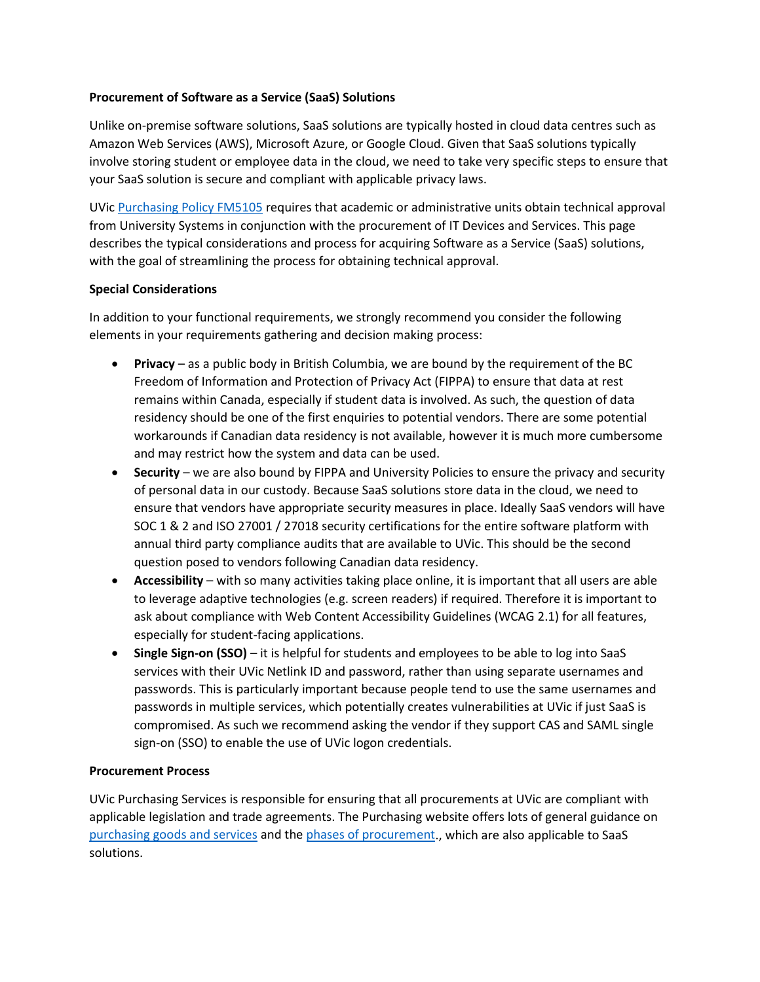## **Procurement of Software as a Service (SaaS) Solutions**

Unlike on-premise software solutions, SaaS solutions are typically hosted in cloud data centres such as Amazon Web Services (AWS), Microsoft Azure, or Google Cloud. Given that SaaS solutions typically involve storing student or employee data in the cloud, we need to take very specific steps to ensure that your SaaS solution is secure and compliant with applicable privacy laws.

UVic [Purchasing Policy FM5105](https://www.uvic.ca/universitysecretary/assets/docs/policies/FM5105_1750_.pdf) requires that academic or administrative units obtain technical approval from University Systems in conjunction with the procurement of IT Devices and Services. This page describes the typical considerations and process for acquiring Software as a Service (SaaS) solutions, with the goal of streamlining the process for obtaining technical approval.

## **Special Considerations**

In addition to your functional requirements, we strongly recommend you consider the following elements in your requirements gathering and decision making process:

- **Privacy** as a public body in British Columbia, we are bound by the requirement of the BC Freedom of Information and Protection of Privacy Act (FIPPA) to ensure that data at rest remains within Canada, especially if student data is involved. As such, the question of data residency should be one of the first enquiries to potential vendors. There are some potential workarounds if Canadian data residency is not available, however it is much more cumbersome and may restrict how the system and data can be used.
- **Security** we are also bound by FIPPA and University Policies to ensure the privacy and security of personal data in our custody. Because SaaS solutions store data in the cloud, we need to ensure that vendors have appropriate security measures in place. Ideally SaaS vendors will have SOC 1 & 2 and ISO 27001 / 27018 security certifications for the entire software platform with annual third party compliance audits that are available to UVic. This should be the second question posed to vendors following Canadian data residency.
- **Accessibility** with so many activities taking place online, it is important that all users are able to leverage adaptive technologies (e.g. screen readers) if required. Therefore it is important to ask about compliance with Web Content Accessibility Guidelines (WCAG 2.1) for all features, especially for student-facing applications.
- **Single Sign-on (SSO)** it is helpful for students and employees to be able to log into SaaS services with their UVic Netlink ID and password, rather than using separate usernames and passwords. This is particularly important because people tend to use the same usernames and passwords in multiple services, which potentially creates vulnerabilities at UVic if just SaaS is compromised. As such we recommend asking the vendor if they support CAS and SAML single sign-on (SSO) to enable the use of UVic logon credentials.

## **Procurement Process**

UVic Purchasing Services is responsible for ensuring that all procurements at UVic are compliant with applicable legislation and trade agreements. The Purchasing website offers lots of general guidance on [purchasing goods and services](https://www.uvic.ca/purchasing/staff-faculty/purchasing-goods-services/services/index.php) and the [phases of procurement.](https://www.uvic.ca/purchasing/staff-faculty/purchasing-goods-services/index.php), which are also applicable to SaaS solutions.